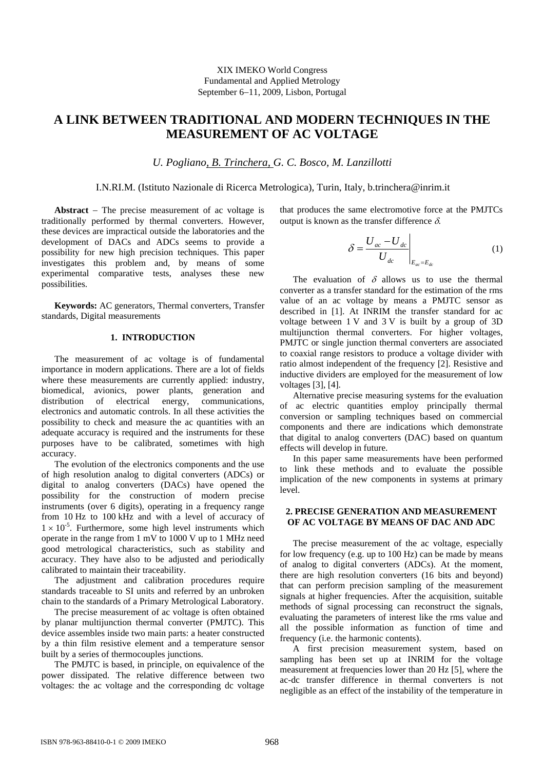# **A LINK BETWEEN TRADITIONAL AND MODERN TECHNIQUES IN THE MEASUREMENT OF AC VOLTAGE**

*U. Pogliano, B. Trinchera, G. C. Bosco, M. Lanzillotti* 

## I.N.RI.M. (Istituto Nazionale di Ricerca Metrologica), Turin, Italy, b.trinchera@inrim.it

**Abstract** − The precise measurement of ac voltage is traditionally performed by thermal converters. However, these devices are impractical outside the laboratories and the development of DACs and ADCs seems to provide a possibility for new high precision techniques. This paper investigates this problem and, by means of some experimental comparative tests, analyses these new possibilities.

**Keywords:** AC generators, Thermal converters, Transfer standards, Digital measurements

# **1. INTRODUCTION**

The measurement of ac voltage is of fundamental importance in modern applications. There are a lot of fields where these measurements are currently applied: industry, biomedical, avionics, power plants, generation and distribution of electrical energy, communications, electronics and automatic controls. In all these activities the possibility to check and measure the ac quantities with an adequate accuracy is required and the instruments for these purposes have to be calibrated, sometimes with high accuracy.

The evolution of the electronics components and the use of high resolution analog to digital converters (ADCs) or digital to analog converters (DACs) have opened the possibility for the construction of modern precise instruments (over 6 digits), operating in a frequency range from 10 Hz to 100 kHz and with a level of accuracy of  $1 \times 10^{-5}$ . Furthermore, some high level instruments which operate in the range from 1 mV to 1000 V up to 1 MHz need good metrological characteristics, such as stability and accuracy. They have also to be adjusted and periodically calibrated to maintain their traceability.

The adjustment and calibration procedures require standards traceable to SI units and referred by an unbroken chain to the standards of a Primary Metrological Laboratory.

The precise measurement of ac voltage is often obtained by planar multijunction thermal converter (PMJTC). This device assembles inside two main parts: a heater constructed by a thin film resistive element and a temperature sensor built by a series of thermocouples junctions.

The PMJTC is based, in principle, on equivalence of the power dissipated. The relative difference between two voltages: the ac voltage and the corresponding dc voltage

that produces the same electromotive force at the PMJTCs output is known as the transfer difference  $\delta$ .

$$
\delta = \frac{U_{ac} - U_{dc}}{U_{dc}}\Bigg|_{E_{ac} = E_{dc}}
$$
\n(1)

The evaluation of  $\delta$  allows us to use the thermal converter as a transfer standard for the estimation of the rms value of an ac voltage by means a PMJTC sensor as described in [1]. At INRIM the transfer standard for ac voltage between 1 V and 3 V is built by a group of 3D multijunction thermal converters. For higher voltages, PMJTC or single junction thermal converters are associated to coaxial range resistors to produce a voltage divider with ratio almost independent of the frequency [2]. Resistive and inductive dividers are employed for the measurement of low voltages [3], [4].

Alternative precise measuring systems for the evaluation of ac electric quantities employ principally thermal conversion or sampling techniques based on commercial components and there are indications which demonstrate that digital to analog converters (DAC) based on quantum effects will develop in future.

In this paper same measurements have been performed to link these methods and to evaluate the possible implication of the new components in systems at primary level.

# **2. PRECISE GENERATION AND MEASUREMENT OF AC VOLTAGE BY MEANS OF DAC AND ADC**

The precise measurement of the ac voltage, especially for low frequency (e.g. up to 100 Hz) can be made by means of analog to digital converters (ADCs). At the moment, there are high resolution converters (16 bits and beyond) that can perform precision sampling of the measurement signals at higher frequencies. After the acquisition, suitable methods of signal processing can reconstruct the signals, evaluating the parameters of interest like the rms value and all the possible information as function of time and frequency (i.e. the harmonic contents).

A first precision measurement system, based on sampling has been set up at INRIM for the voltage measurement at frequencies lower than 20 Hz [5], where the ac-dc transfer difference in thermal converters is not negligible as an effect of the instability of the temperature in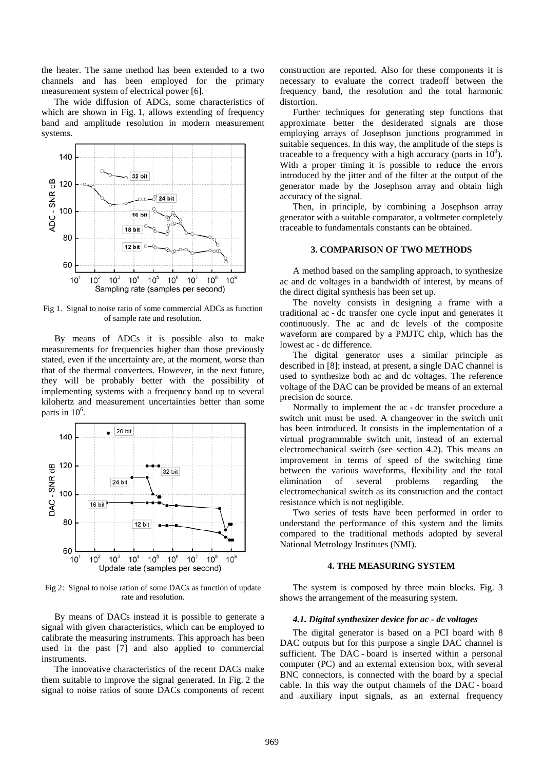the heater. The same method has been extended to a two channels and has been employed for the primary measurement system of electrical power [6].

The wide diffusion of ADCs, some characteristics of which are shown in Fig. 1, allows extending of frequency band and amplitude resolution in modern measurement systems.



Fig 1. Signal to noise ratio of some commercial ADCs as function of sample rate and resolution.

By means of ADCs it is possible also to make measurements for frequencies higher than those previously stated, even if the uncertainty are, at the moment, worse than that of the thermal converters. However, in the next future, they will be probably better with the possibility of implementing systems with a frequency band up to several kilohertz and measurement uncertainties better than some parts in  $10^6$ .



Fig 2: Signal to noise ration of some DACs as function of update rate and resolution.

By means of DACs instead it is possible to generate a signal with given characteristics, which can be employed to calibrate the measuring instruments. This approach has been used in the past [7] and also applied to commercial instruments.

The innovative characteristics of the recent DACs make them suitable to improve the signal generated. In Fig. 2 the signal to noise ratios of some DACs components of recent construction are reported. Also for these components it is necessary to evaluate the correct tradeoff between the frequency band, the resolution and the total harmonic distortion.

Further techniques for generating step functions that approximate better the desiderated signals are those employing arrays of Josephson junctions programmed in suitable sequences. In this way, the amplitude of the steps is traceable to a frequency with a high accuracy (parts in  $10^9$ ). With a proper timing it is possible to reduce the errors introduced by the jitter and of the filter at the output of the generator made by the Josephson array and obtain high accuracy of the signal.

Then, in principle, by combining a Josephson array generator with a suitable comparator, a voltmeter completely traceable to fundamentals constants can be obtained.

## **3. COMPARISON OF TWO METHODS**

A method based on the sampling approach, to synthesize ac and dc voltages in a bandwidth of interest, by means of the direct digital synthesis has been set up.

The novelty consists in designing a frame with a traditional ac - dc transfer one cycle input and generates it continuously. The ac and dc levels of the composite waveform are compared by a PMJTC chip, which has the lowest ac - dc difference.

The digital generator uses a similar principle as described in [8]; instead, at present, a single DAC channel is used to synthesize both ac and dc voltages. The reference voltage of the DAC can be provided be means of an external precision dc source.

Normally to implement the ac - dc transfer procedure a switch unit must be used. A changeover in the switch unit has been introduced. It consists in the implementation of a virtual programmable switch unit, instead of an external electromechanical switch (see section 4.2). This means an improvement in terms of speed of the switching time between the various waveforms, flexibility and the total elimination of several problems regarding the electromechanical switch as its construction and the contact resistance which is not negligible.

Two series of tests have been performed in order to understand the performance of this system and the limits compared to the traditional methods adopted by several National Metrology Institutes (NMI).

# **4. THE MEASURING SYSTEM**

The system is composed by three main blocks. Fig. 3 shows the arrangement of the measuring system.

#### *4.1. Digital synthesizer device for ac - dc voltages*

The digital generator is based on a PCI board with 8 DAC outputs but for this purpose a single DAC channel is sufficient. The DAC - board is inserted within a personal computer (PC) and an external extension box, with several BNC connectors, is connected with the board by a special cable. In this way the output channels of the DAC - board and auxiliary input signals, as an external frequency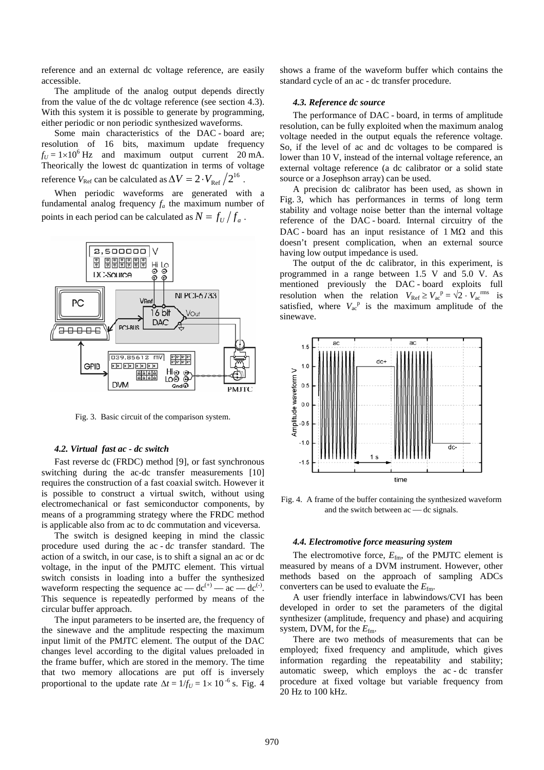reference and an external dc voltage reference, are easily accessible.

The amplitude of the analog output depends directly from the value of the dc voltage reference (see section 4.3). With this system it is possible to generate by programming, either periodic or non periodic synthesized waveforms.

Some main characteristics of the DAC - board are; resolution of 16 bits, maximum update frequency  $f_U = 1 \times 10^6$  Hz and maximum output current 20 mA. Theorically the lowest dc quantization in terms of voltage reference  $V_{\rm Ref}$  can be calculated as  $\Delta V = 2 \cdot V_{\rm Ref} \, \big/ 2^{16}$  .

When periodic waveforms are generated with a fundamental analog frequency  $f_a$  the maximum number of points in each period can be calculated as  $N = f_{1}/f_{2}$ .



Fig. 3. Basic circuit of the comparison system.

## *4.2. Virtual fast ac - dc switch*

Fast reverse dc (FRDC) method [9], or fast synchronous switching during the ac-dc transfer measurements [10] requires the construction of a fast coaxial switch. However it is possible to construct a virtual switch, without using electromechanical or fast semiconductor components, by means of a programming strategy where the FRDC method is applicable also from ac to dc commutation and viceversa.

The switch is designed keeping in mind the classic procedure used during the ac - d*c* transfer standard. The action of a switch, in our case, is to shift a signal an ac or dc voltage, in the input of the PMJTC element. This virtual switch consists in loading into a buffer the synthesized waveform respecting the sequence  $ac - dc^{(+)} - ac - dc^{(-)}$ . This sequence is repeatedly performed by means of the circular buffer approach.

The input parameters to be inserted are, the frequency of the sinewave and the amplitude respecting the maximum input limit of the PMJTC element. The output of the DAC changes level according to the digital values preloaded in the frame buffer, which are stored in the memory. The time that two memory allocations are put off is inversely proportional to the update rate  $\Delta t = 1/f_U = 1 \times 10^{-6}$  s. Fig. 4

shows a frame of the waveform buffer which contains the standard cycle of an ac - dc transfer procedure.

#### *4.3. Reference dc source*

The performance of DAC - board, in terms of amplitude resolution, can be fully exploited when the maximum analog voltage needed in the output equals the reference voltage. So, if the level of ac and dc voltages to be compared is lower than 10 V, instead of the internal voltage reference, an external voltage reference (a dc calibrator or a solid state source or a Josephson array) can be used.

A precision dc calibrator has been used, as shown in Fig. 3, which has performances in terms of long term stability and voltage noise better than the internal voltage reference of the DAC - board. Internal circuitry of the DAC - board has an input resistance of 1 MΩ and this doesn't present complication, when an external source having low output impedance is used.

The output of the dc calibrator, in this experiment, is programmed in a range between 1.5 V and 5.0 V. As mentioned previously the DAC - board exploits full resolution when the relation  $V_{\text{Ref}} \ge V_{\text{ac}}^{\text{p}} = \sqrt{2} \cdot V_{\text{ac}}^{\text{rms}}$  is satisfied, where  $V_{ac}^{p}$  is the maximum amplitude of the sinewave.



Fig. 4. A frame of the buffer containing the synthesized waveform and the switch between  $ac$   $\rightarrow$  dc signals.

### *4.4. Electromotive force measuring system*

The electromotive force,  $E_{\text{fm}}$ , of the PMJTC element is measured by means of a DVM instrument. However, other methods based on the approach of sampling ADCs converters can be used to evaluate the  $E_{\text{fm}}$ .

A user friendly interface in labwindows/CVI has been developed in order to set the parameters of the digital synthesizer (amplitude, frequency and phase) and acquiring system, DVM, for the  $E_{\text{fm}}$ .

There are two methods of measurements that can be employed; fixed frequency and amplitude, which gives information regarding the repeatability and stability; automatic sweep, which employs the ac - dc transfer procedure at fixed voltage but variable frequency from 20 Hz to 100 kHz.